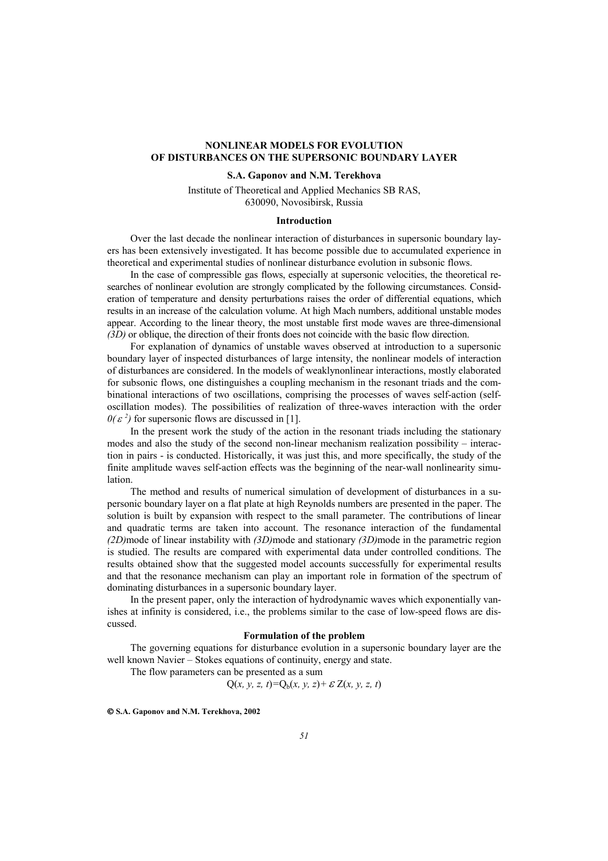# **NONLINEAR MODELS FOR EVOLUTION OF DISTURBANCES ON THE SUPERSONIC BOUNDARY LAYER**

## **S.A. Gaponov and N.M. Terekhova**

Institute of Theoretical and Applied Mechanics SB RAS, 630090, Novosibirsk, Russia

### **Introduction**

Over the last decade the nonlinear interaction of disturbances in supersonic boundary layers has been extensively investigated. It has become possible due to accumulated experience in theoretical and experimental studies of nonlinear disturbance evolution in subsonic flows.

In the case of compressible gas flows, especially at supersonic velocities, the theoretical researches of nonlinear evolution are strongly complicated by the following circumstances. Consideration of temperature and density perturbations raises the order of differential equations, which results in an increase of the calculation volume. At high Mach numbers, additional unstable modes appear. According to the linear theory, the most unstable first mode waves are three-dimensional *(3D)* or oblique, the direction of their fronts does not coincide with the basic flow direction.

For explanation of dynamics of unstable waves observed at introduction to a supersonic boundary layer of inspected disturbances of large intensity, the nonlinear models of interaction of disturbances are considered. In the models of weaklynonlinear interactions, mostly elaborated for subsonic flows, one distinguishes a coupling mechanism in the resonant triads and the combinational interactions of two oscillations, comprising the processes of waves self-action (selfoscillation modes). The possibilities of realization of three-waves interaction with the order  $0(\varepsilon^2)$  for supersonic flows are discussed in [1].

In the present work the study of the action in the resonant triads including the stationary modes and also the study of the second non-linear mechanism realization possibility – interaction in pairs - is conducted. Historically, it was just this, and more specifically, the study of the finite amplitude waves self-action effects was the beginning of the near-wall nonlinearity simulation.

The method and results of numerical simulation of development of disturbances in a supersonic boundary layer on a flat plate at high Reynolds numbers are presented in the paper. The solution is built by expansion with respect to the small parameter. The contributions of linear and quadratic terms are taken into account. The resonance interaction of the fundamental *(2D)*mode of linear instability with *(3D)*mode and stationary *(3D)*mode in the parametric region is studied. The results are compared with experimental data under controlled conditions. The results obtained show that the suggested model accounts successfully for experimental results and that the resonance mechanism can play an important role in formation of the spectrum of dominating disturbances in a supersonic boundary layer.

In the present paper, only the interaction of hydrodynamic waves which exponentially vanishes at infinity is considered, i.e., the problems similar to the case of low-speed flows are discussed.

#### **Formulation of the problem**

The governing equations for disturbance evolution in a supersonic boundary layer are the well known Navier – Stokes equations of continuity, energy and state.

The flow parameters can be presented as a sum

 $Q(x, y, z, t) = Q_b(x, y, z) + \mathcal{E} Z(x, y, z, t)$ 

 **S.A. Gaponov and N.M. Terekhova, 2002**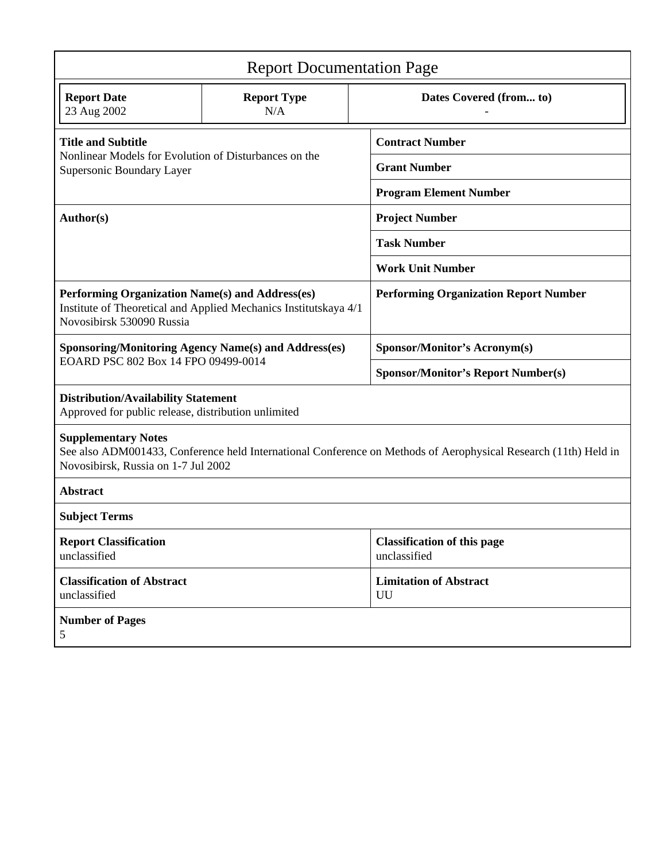| <b>Report Documentation Page</b>                                                                                                                                                     |                           |                                                    |
|--------------------------------------------------------------------------------------------------------------------------------------------------------------------------------------|---------------------------|----------------------------------------------------|
| <b>Report Date</b><br>23 Aug 2002                                                                                                                                                    | <b>Report Type</b><br>N/A | Dates Covered (from to)                            |
| <b>Title and Subtitle</b><br>Nonlinear Models for Evolution of Disturbances on the<br>Supersonic Boundary Layer                                                                      |                           | <b>Contract Number</b>                             |
|                                                                                                                                                                                      |                           | <b>Grant Number</b>                                |
|                                                                                                                                                                                      |                           | <b>Program Element Number</b>                      |
| Author(s)                                                                                                                                                                            |                           | <b>Project Number</b>                              |
|                                                                                                                                                                                      |                           | <b>Task Number</b>                                 |
|                                                                                                                                                                                      |                           | <b>Work Unit Number</b>                            |
| Performing Organization Name(s) and Address(es)<br>Institute of Theoretical and Applied Mechanics Institutskaya 4/1<br>Novosibirsk 530090 Russia                                     |                           | <b>Performing Organization Report Number</b>       |
| <b>Sponsoring/Monitoring Agency Name(s) and Address(es)</b><br>EOARD PSC 802 Box 14 FPO 09499-0014                                                                                   |                           | <b>Sponsor/Monitor's Acronym(s)</b>                |
|                                                                                                                                                                                      |                           | <b>Sponsor/Monitor's Report Number(s)</b>          |
| <b>Distribution/Availability Statement</b><br>Approved for public release, distribution unlimited                                                                                    |                           |                                                    |
| <b>Supplementary Notes</b><br>See also ADM001433, Conference held International Conference on Methods of Aerophysical Research (11th) Held in<br>Novosibirsk, Russia on 1-7 Jul 2002 |                           |                                                    |
| <b>Abstract</b>                                                                                                                                                                      |                           |                                                    |
| <b>Subject Terms</b>                                                                                                                                                                 |                           |                                                    |
| <b>Report Classification</b><br>unclassified                                                                                                                                         |                           | <b>Classification of this page</b><br>unclassified |
| <b>Classification of Abstract</b><br>unclassified                                                                                                                                    |                           | <b>Limitation of Abstract</b><br>UU                |
| <b>Number of Pages</b><br>5                                                                                                                                                          |                           |                                                    |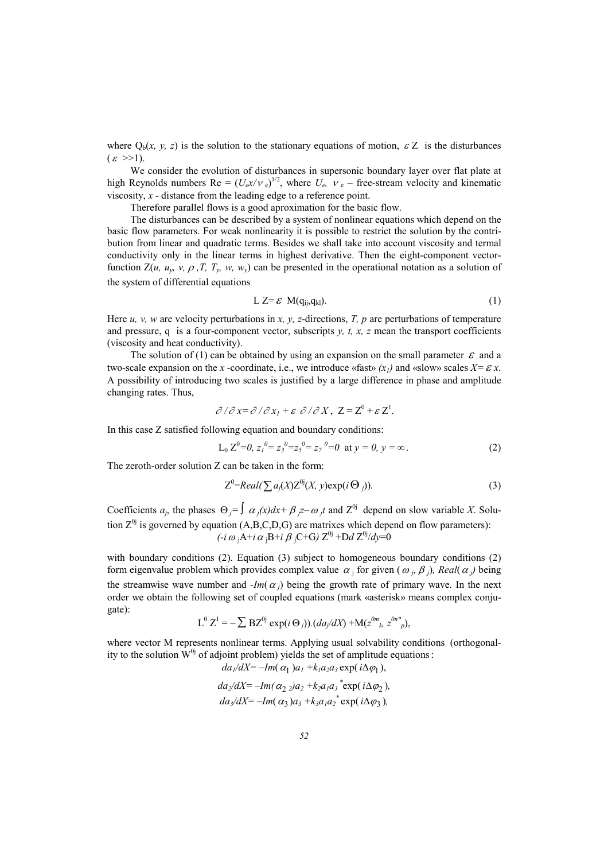where  $Q_b(x, y, z)$  is the solution to the stationary equations of motion,  $\epsilon Z$  is the disturbances  $\epsilon \gg 1$ ).

We consider the evolution of disturbances in supersonic boundary layer over flat plate at high Reynolds numbers  $\text{Re} = (U_e x/v_e)^{1/2}$ , where  $U_e$ ,  $v_e$  – free-stream velocity and kinematic viscosity, *x* - distance from the leading edge to a reference point.

Therefore parallel flows is a good aproximation for the basic flow.

The disturbances can be described by a system of nonlinear equations which depend on the basic flow parameters. For weak nonlinearity it is possible to restrict the solution by the contribution from linear and quadratic terms. Besides we shall take into account viscosity and termal conductivity only in the linear terms in highest derivative. Then the eight-component vectorfunction  $Z(u, u_v, v, \rho, T, T_v, w, w_v)$  can be presented in the operational notation as a solution of the system of differential equations

$$
L Z = \mathcal{E} M(q_{ij}, q_{kl}). \tag{1}
$$

Here *u, v, w* are velocity perturbations in *x, y, z*-directions, *T, p* are perturbations of temperature and pressure, q is a four-component vector, subscripts *y, t, x, z* mean the transport coefficients (viscosity and heat conductivity).

The solution of (1) can be obtained by using an expansion on the small parameter  $\varepsilon$  and a two-scale expansion on the *x* -coordinate, i.e., we introduce «fast»  $(x_1)$  and «slow» scales  $X = \mathcal{E} x$ . A possibility of introducing two scales is justified by a large difference in phase and amplitude changing rates. Thus,

$$
\partial/\partial x = \partial/\partial x_1 + \varepsilon \partial/\partial X, \ Z = Z^0 + \varepsilon Z^1.
$$

In this case Z satisfied following equation and boundary conditions:

$$
L_0 Z^0 = 0, z_1^0 = z_3^0 = z_5^0 = z_7^0 = 0 \text{ at } y = 0, y = \infty.
$$
 (2)

The zeroth-order solution Z can be taken in the form:

$$
Z^{0}=Real(\sum a_{j}(X)Z^{0j}(X, y)exp(i\Theta_{j})).
$$
\n(3)

Coefficients  $a_j$ , the phases  $\Theta_j = \int \alpha_j(x) dx + \beta_j z - \omega_j t$  and  $Z^{0j}$  depend on slow variable *X*. Solution  $Z^{0j}$  is governed by equation (A,B,C,D,G) are matrixes which depend on flow parameters):  $(i\omega_iA+i\alpha_jB+i\beta_jC+G)Z^{0j}+DdZ^{0j}/dy=0$ 

with boundary conditions (2). Equation (3) subject to homogeneous boundary conditions (2) form eigenvalue problem which provides complex value  $\alpha_j$  for given ( $\omega_j$ ,  $\beta_j$ ), Real( $\alpha_j$ ) being the streamwise wave number and *-Im(* $\alpha$ *<sub>i</sub>)* being the growth rate of primary wave. In the next order we obtain the following set of coupled equations (mark «asterisk» means complex conjugate):

$$
L^{0} Z^{1} = -\sum BZ^{0j} \exp(i \Theta_j)).(da_j/dX) + M(z^{0m}, z^{0n*})
$$

where vector M represents nonlinear terms. Applying usual solvability conditions (orthogonality to the solution  $W^{0j}$  of adjoint problem) yields the set of amplitude equations:  $da_1/dX = -Im(\alpha_1) a_1 + k_1 a_2 a_2 \exp(i \Lambda \omega_1)$ 

$$
da_2/dX = -Im(\alpha_2 2)a_2 + k_2 a_1 a_3^* \exp(i\Delta\varphi_2),
$$
  
\n
$$
da_2/dX = -Im(\alpha_3) a_3 + k_3 a_1 a_2^* \exp(i\Delta\varphi_3),
$$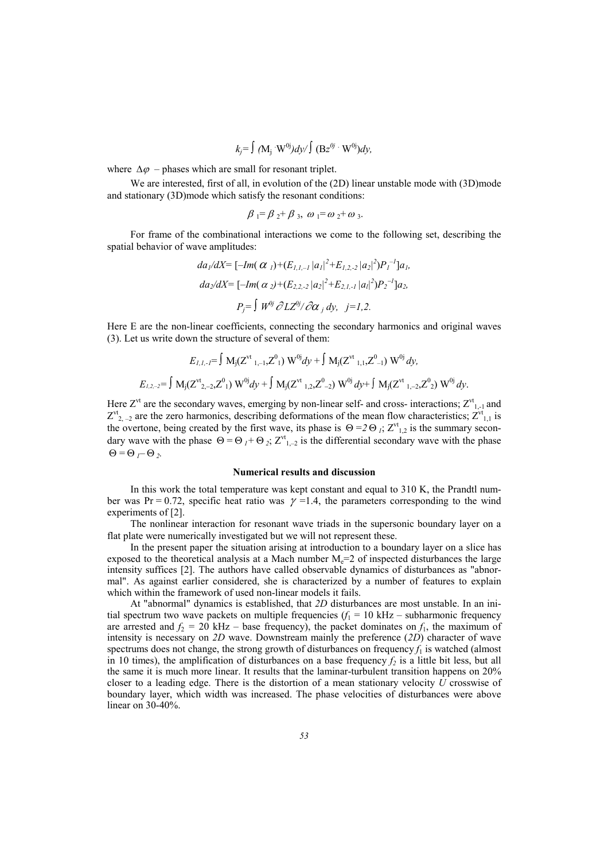$$
k_j = \int (M_j W^{0j}) dy / \int (Bz^{0j} \cdot W^{0j}) dy,
$$

where  $\Delta \varphi$  – phases which are small for resonant triplet.

We are interested, first of all, in evolution of the (2D) linear unstable mode with (3D)mode and stationary (3D)mode which satisfy the resonant conditions:

$$
\beta_1 = \beta_2 + \beta_3, \omega_1 = \omega_2 + \omega_3.
$$

For frame of the combinational interactions we come to the following set, describing the spatial behavior of wave amplitudes:

$$
da_1/dX = [-Im(\alpha_1) + (E_{1,1,-1} |a_1|^2 + E_{1,2,-2} |a_2|^2)P_1^{-1}]a_1,
$$
  
\n
$$
da_2/dX = [-Im(\alpha_2) + (E_{2,2,-2} |a_2|^2 + E_{2,1,-1} |a_1|^2)P_2^{-1}]a_2,
$$
  
\n
$$
P_j = \int W^{0j} \partial LZ^{0j} / \partial \alpha_j dy, \quad j = 1,2.
$$

Here E are the non-linear coefficients, connecting the secondary harmonics and original waves (3). Let us write down the structure of several of them:

$$
E_{1,1,-1} = \int M_j(Z^{vt}{}_{1,-1},Z^0{}_1) W^{0j} dy + \int M_j(Z^{vt}{}_{1,1},Z^0{}_{-1}) W^{0j} dy,
$$
  

$$
E_{1,2,-2} = \int M_j(Z^{vt}{}_{2,-2},Z^0{}_1) W^{0j} dy + \int M_j(Z^{vt}{}_{1,2},Z^0{}_{-2}) W^{0j} dy + \int M_j(Z^{vt}{}_{1,-2},Z^0{}_2) W^{0j} dy.
$$

Here  $Z^{\nu t}$  are the secondary waves, emerging by non-linear self- and cross- interactions;  $Z^{\nu t}$ <sub>1,-1</sub> and  $Z^{\prime t}$ <sub>2, -2</sub> are the zero harmonics, describing deformations of the mean flow characteristics;  $Z^{\prime t}$ <sub>1,1</sub> is the overtone, being created by the first wave, its phase is  $\Theta = 2 \Theta_l$ ;  $Z^{\nu t}$ <sub>1,2</sub> is the summary secondary wave with the phase  $\Theta = \Theta_I + \Theta_2$ ;  $Z^{\nu_1}$ <sub>1,-2</sub> is the differential secondary wave with the phase  $\Theta = \Theta_I - \Theta_2$ .

#### **Numerical results and discussion**

In this work the total temperature was kept constant and equal to 310 K, the Prandtl number was Pr = 0.72, specific heat ratio was  $\gamma$  = 1.4, the parameters corresponding to the wind experiments of [2].

The nonlinear interaction for resonant wave triads in the supersonic boundary layer on a flat plate were numerically investigated but we will not represent these.

In the present paper the situation arising at introduction to a boundary layer on a slice has exposed to the theoretical analysis at a Mach number  $M_e=2$  of inspected disturbances the large intensity suffices [2]. The authors have called observable dynamics of disturbances as "abnormal". As against earlier considered, she is characterized by a number of features to explain which within the framework of used non-linear models it fails.

At "abnormal" dynamics is established, that *2D* disturbances are most unstable. In an initial spectrum two wave packets on multiple frequencies  $(f_1 = 10 \text{ kHz} - \text{subharmonic frequency})$ are arrested and  $f_2 = 20$  kHz – base frequency), the packet dominates on  $f_1$ , the maximum of intensity is necessary on *2D* wave. Downstream mainly the preference (*2D*) character of wave spectrums does not change, the strong growth of disturbances on frequency  $f_1$  is watched (almost in 10 times), the amplification of disturbances on a base frequency  $f_2$  is a little bit less, but all the same it is much more linear. It results that the laminar-turbulent transition happens on 20% closer to a leading edge. There is the distortion of a mean stationary velocity *U* crosswise of boundary layer, which width was increased. The phase velocities of disturbances were above linear on 30-40%.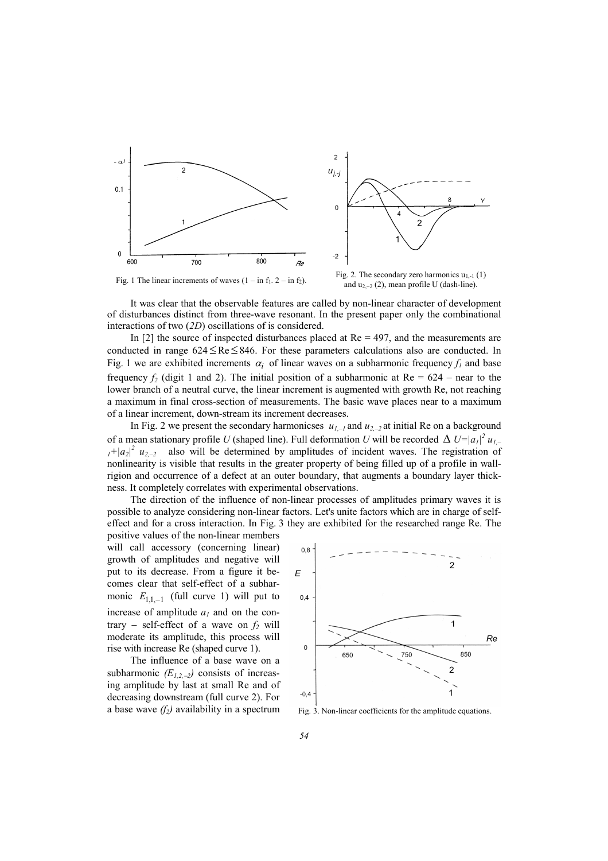

It was clear that the observable features are called by non-linear character of development of disturbances distinct from three-wave resonant. In the present paper only the combinational interactions of two (*2D*) oscillations of is considered.

In  $[2]$  the source of inspected disturbances placed at  $Re = 497$ , and the measurements are conducted in range  $624 \leq Re \leq 846$ . For these parameters calculations also are conducted. In Fig. 1 we are exhibited increments  $\alpha_i$  of linear waves on a subharmonic frequency  $f_i$  and base frequency  $f_2$  (digit 1 and 2). The initial position of a subharmonic at Re = 624 – near to the lower branch of a neutral curve, the linear increment is augmented with growth Re, not reaching a maximum in final cross-section of measurements. The basic wave places near to a maximum of a linear increment, down-stream its increment decreases.

In Fig. 2 we present the secondary harmonicses  $u_{1,-1}$  and  $u_{2,-2}$  at initial Re on a background of a mean stationary profile *U* (shaped line). Full deformation *U* will be recorded  $\Delta U=|a_1|^2 u_{1,-}$  $1+|a_2|^2$   $u_{2,-2}$  also will be determined by amplitudes of incident waves. The registration of nonlinearity is visible that results in the greater property of being filled up of a profile in wallrigion and occurrence of a defect at an outer boundary, that augments a boundary layer thickness. It completely correlates with experimental observations.

The direction of the influence of non-linear processes of amplitudes primary waves it is possible to analyze considering non-linear factors. Let's unite factors which are in charge of selfeffect and for a cross interaction. In Fig. 3 they are exhibited for the researched range Re. The

positive values of the non-linear members will call accessory (concerning linear) growth of amplitudes and negative will put to its decrease. From a figure it becomes clear that self-effect of a subharmonic  $E_{1,1,-1}$  (full curve 1) will put to increase of amplitude  $a<sub>l</sub>$  and on the contrary – self-effect of a wave on  $f_2$  will moderate its amplitude, this process will rise with increase Re (shaped curve 1).

The influence of a base wave on a subharmonic *(E1,2,*−*2)* consists of increasing amplitude by last at small Re and of decreasing downstream (full curve 2). For a base wave  $(f_2)$  availability in a spectrum



Fig. 3. Non-linear coefficients for the amplitude equations.